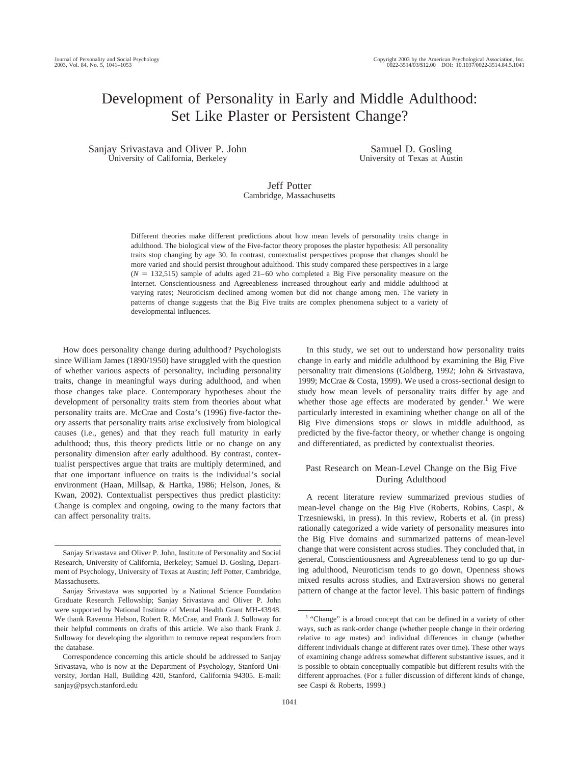# Development of Personality in Early and Middle Adulthood: Set Like Plaster or Persistent Change?

Sanjay Srivastava and Oliver P. John University of California, Berkeley

Samuel D. Gosling University of Texas at Austin

## Jeff Potter Cambridge, Massachusetts

Different theories make different predictions about how mean levels of personality traits change in adulthood. The biological view of the Five-factor theory proposes the plaster hypothesis: All personality traits stop changing by age 30. In contrast, contextualist perspectives propose that changes should be more varied and should persist throughout adulthood. This study compared these perspectives in a large  $(N = 132,515)$  sample of adults aged 21–60 who completed a Big Five personality measure on the Internet. Conscientiousness and Agreeableness increased throughout early and middle adulthood at varying rates; Neuroticism declined among women but did not change among men. The variety in patterns of change suggests that the Big Five traits are complex phenomena subject to a variety of developmental influences.

How does personality change during adulthood? Psychologists since William James (1890/1950) have struggled with the question of whether various aspects of personality, including personality traits, change in meaningful ways during adulthood, and when those changes take place. Contemporary hypotheses about the development of personality traits stem from theories about what personality traits are. McCrae and Costa's (1996) five-factor theory asserts that personality traits arise exclusively from biological causes (i.e., genes) and that they reach full maturity in early adulthood; thus, this theory predicts little or no change on any personality dimension after early adulthood. By contrast, contextualist perspectives argue that traits are multiply determined, and that one important influence on traits is the individual's social environment (Haan, Millsap, & Hartka, 1986; Helson, Jones, & Kwan, 2002). Contextualist perspectives thus predict plasticity: Change is complex and ongoing, owing to the many factors that can affect personality traits.

In this study, we set out to understand how personality traits change in early and middle adulthood by examining the Big Five personality trait dimensions (Goldberg, 1992; John & Srivastava, 1999; McCrae & Costa, 1999). We used a cross-sectional design to study how mean levels of personality traits differ by age and whether those age effects are moderated by gender.<sup>1</sup> We were particularly interested in examining whether change on all of the Big Five dimensions stops or slows in middle adulthood, as predicted by the five-factor theory, or whether change is ongoing and differentiated, as predicted by contextualist theories.

## Past Research on Mean-Level Change on the Big Five During Adulthood

A recent literature review summarized previous studies of mean-level change on the Big Five (Roberts, Robins, Caspi, & Trzesniewski, in press). In this review, Roberts et al. (in press) rationally categorized a wide variety of personality measures into the Big Five domains and summarized patterns of mean-level change that were consistent across studies. They concluded that, in general, Conscientiousness and Agreeableness tend to go up during adulthood, Neuroticism tends to go down, Openness shows mixed results across studies, and Extraversion shows no general pattern of change at the factor level. This basic pattern of findings

Sanjay Srivastava and Oliver P. John, Institute of Personality and Social Research, University of California, Berkeley; Samuel D. Gosling, Department of Psychology, University of Texas at Austin; Jeff Potter, Cambridge, Massachusetts.

Sanjay Srivastava was supported by a National Science Foundation Graduate Research Fellowship; Sanjay Srivastava and Oliver P. John were supported by National Institute of Mental Health Grant MH-43948. We thank Ravenna Helson, Robert R. McCrae, and Frank J. Sulloway for their helpful comments on drafts of this article. We also thank Frank J. Sulloway for developing the algorithm to remove repeat responders from the database.

Correspondence concerning this article should be addressed to Sanjay Srivastava, who is now at the Department of Psychology, Stanford University, Jordan Hall, Building 420, Stanford, California 94305. E-mail: sanjay@psych.stanford.edu

<sup>1</sup> "Change" is a broad concept that can be defined in a variety of other ways, such as rank-order change (whether people change in their ordering relative to age mates) and individual differences in change (whether different individuals change at different rates over time). These other ways of examining change address somewhat different substantive issues, and it is possible to obtain conceptually compatible but different results with the different approaches. (For a fuller discussion of different kinds of change, see Caspi & Roberts, 1999.)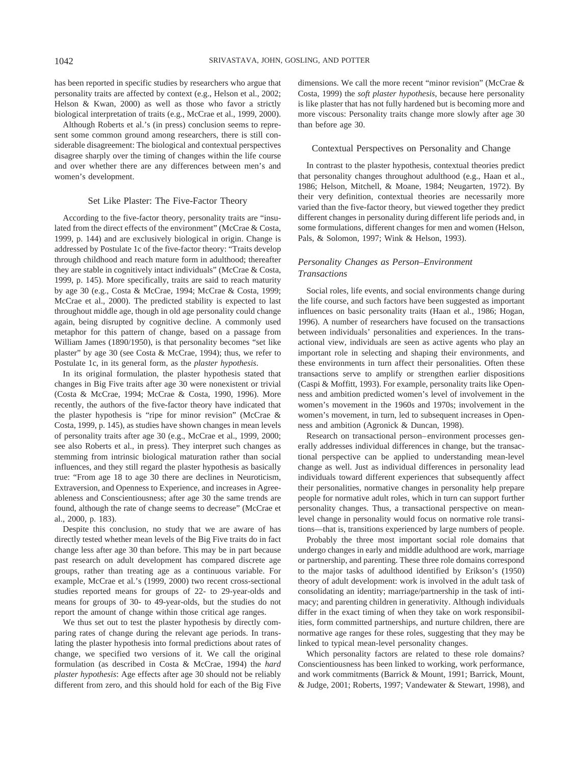has been reported in specific studies by researchers who argue that personality traits are affected by context (e.g., Helson et al., 2002; Helson & Kwan, 2000) as well as those who favor a strictly biological interpretation of traits (e.g., McCrae et al., 1999, 2000).

Although Roberts et al.'s (in press) conclusion seems to represent some common ground among researchers, there is still considerable disagreement: The biological and contextual perspectives disagree sharply over the timing of changes within the life course and over whether there are any differences between men's and women's development.

#### Set Like Plaster: The Five-Factor Theory

According to the five-factor theory, personality traits are "insulated from the direct effects of the environment" (McCrae & Costa, 1999, p. 144) and are exclusively biological in origin. Change is addressed by Postulate 1c of the five-factor theory: "Traits develop through childhood and reach mature form in adulthood; thereafter they are stable in cognitively intact individuals" (McCrae & Costa, 1999, p. 145). More specifically, traits are said to reach maturity by age 30 (e.g., Costa & McCrae, 1994; McCrae & Costa, 1999; McCrae et al., 2000). The predicted stability is expected to last throughout middle age, though in old age personality could change again, being disrupted by cognitive decline. A commonly used metaphor for this pattern of change, based on a passage from William James (1890/1950), is that personality becomes "set like plaster" by age 30 (see Costa & McCrae, 1994); thus, we refer to Postulate 1c, in its general form, as the *plaster hypothesis*.

In its original formulation, the plaster hypothesis stated that changes in Big Five traits after age 30 were nonexistent or trivial (Costa & McCrae, 1994; McCrae & Costa, 1990, 1996). More recently, the authors of the five-factor theory have indicated that the plaster hypothesis is "ripe for minor revision" (McCrae & Costa, 1999, p. 145), as studies have shown changes in mean levels of personality traits after age 30 (e.g., McCrae et al., 1999, 2000; see also Roberts et al., in press). They interpret such changes as stemming from intrinsic biological maturation rather than social influences, and they still regard the plaster hypothesis as basically true: "From age 18 to age 30 there are declines in Neuroticism, Extraversion, and Openness to Experience, and increases in Agreeableness and Conscientiousness; after age 30 the same trends are found, although the rate of change seems to decrease" (McCrae et al., 2000, p. 183).

Despite this conclusion, no study that we are aware of has directly tested whether mean levels of the Big Five traits do in fact change less after age 30 than before. This may be in part because past research on adult development has compared discrete age groups, rather than treating age as a continuous variable. For example, McCrae et al.'s (1999, 2000) two recent cross-sectional studies reported means for groups of 22- to 29-year-olds and means for groups of 30- to 49-year-olds, but the studies do not report the amount of change within those critical age ranges.

We thus set out to test the plaster hypothesis by directly comparing rates of change during the relevant age periods. In translating the plaster hypothesis into formal predictions about rates of change, we specified two versions of it. We call the original formulation (as described in Costa & McCrae, 1994) the *hard plaster hypothesis*: Age effects after age 30 should not be reliably different from zero, and this should hold for each of the Big Five dimensions. We call the more recent "minor revision" (McCrae & Costa, 1999) the *soft plaster hypothesis*, because here personality is like plaster that has not fully hardened but is becoming more and more viscous: Personality traits change more slowly after age 30 than before age 30.

#### Contextual Perspectives on Personality and Change

In contrast to the plaster hypothesis, contextual theories predict that personality changes throughout adulthood (e.g., Haan et al., 1986; Helson, Mitchell, & Moane, 1984; Neugarten, 1972). By their very definition, contextual theories are necessarily more varied than the five-factor theory, but viewed together they predict different changes in personality during different life periods and, in some formulations, different changes for men and women (Helson, Pals, & Solomon, 1997; Wink & Helson, 1993).

# *Personality Changes as Person–Environment Transactions*

Social roles, life events, and social environments change during the life course, and such factors have been suggested as important influences on basic personality traits (Haan et al., 1986; Hogan, 1996). A number of researchers have focused on the transactions between individuals' personalities and experiences. In the transactional view, individuals are seen as active agents who play an important role in selecting and shaping their environments, and these environments in turn affect their personalities. Often these transactions serve to amplify or strengthen earlier dispositions (Caspi & Moffitt, 1993). For example, personality traits like Openness and ambition predicted women's level of involvement in the women's movement in the 1960s and 1970s; involvement in the women's movement, in turn, led to subsequent increases in Openness and ambition (Agronick & Duncan, 1998).

Research on transactional person–environment processes generally addresses individual differences in change, but the transactional perspective can be applied to understanding mean-level change as well. Just as individual differences in personality lead individuals toward different experiences that subsequently affect their personalities, normative changes in personality help prepare people for normative adult roles, which in turn can support further personality changes. Thus, a transactional perspective on meanlevel change in personality would focus on normative role transitions—that is, transitions experienced by large numbers of people.

Probably the three most important social role domains that undergo changes in early and middle adulthood are work, marriage or partnership, and parenting. These three role domains correspond to the major tasks of adulthood identified by Erikson's (1950) theory of adult development: work is involved in the adult task of consolidating an identity; marriage/partnership in the task of intimacy; and parenting children in generativity. Although individuals differ in the exact timing of when they take on work responsibilities, form committed partnerships, and nurture children, there are normative age ranges for these roles, suggesting that they may be linked to typical mean-level personality changes.

Which personality factors are related to these role domains? Conscientiousness has been linked to working, work performance, and work commitments (Barrick & Mount, 1991; Barrick, Mount, & Judge, 2001; Roberts, 1997; Vandewater & Stewart, 1998), and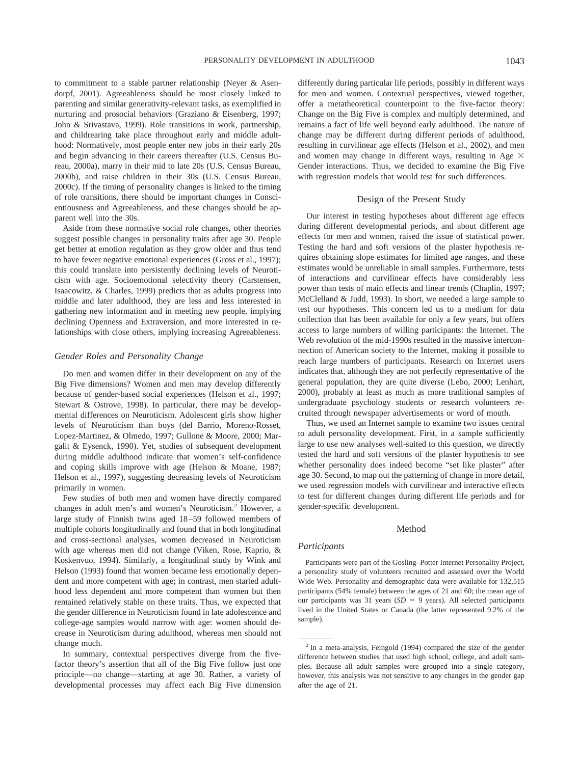to commitment to a stable partner relationship (Neyer & Asendorpf, 2001). Agreeableness should be most closely linked to parenting and similar generativity-relevant tasks, as exemplified in nurturing and prosocial behaviors (Graziano & Eisenberg, 1997; John & Srivastava, 1999). Role transitions in work, partnership, and childrearing take place throughout early and middle adulthood: Normatively, most people enter new jobs in their early 20s and begin advancing in their careers thereafter (U.S. Census Bureau, 2000a), marry in their mid to late 20s (U.S. Census Bureau, 2000b), and raise children in their 30s (U.S. Census Bureau, 2000c). If the timing of personality changes is linked to the timing of role transitions, there should be important changes in Conscientiousness and Agreeableness, and these changes should be apparent well into the 30s.

Aside from these normative social role changes, other theories suggest possible changes in personality traits after age 30. People get better at emotion regulation as they grow older and thus tend to have fewer negative emotional experiences (Gross et al., 1997); this could translate into persistently declining levels of Neuroticism with age. Socioemotional selectivity theory (Carstensen, Isaacowitz, & Charles, 1999) predicts that as adults progress into middle and later adulthood, they are less and less interested in gathering new information and in meeting new people, implying declining Openness and Extraversion, and more interested in relationships with close others, implying increasing Agreeableness.

#### *Gender Roles and Personality Change*

Do men and women differ in their development on any of the Big Five dimensions? Women and men may develop differently because of gender-based social experiences (Helson et al., 1997; Stewart & Ostrove, 1998). In particular, there may be developmental differences on Neuroticism. Adolescent girls show higher levels of Neuroticism than boys (del Barrio, Moreno-Rosset, Lopez-Martinez, & Olmedo, 1997; Gullone & Moore, 2000; Margalit & Eysenck, 1990). Yet, studies of subsequent development during middle adulthood indicate that women's self-confidence and coping skills improve with age (Helson & Moane, 1987; Helson et al., 1997), suggesting decreasing levels of Neuroticism primarily in women.

Few studies of both men and women have directly compared changes in adult men's and women's Neuroticism.<sup>2</sup> However, a large study of Finnish twins aged 18–59 followed members of multiple cohorts longitudinally and found that in both longitudinal and cross-sectional analyses, women decreased in Neuroticism with age whereas men did not change (Viken, Rose, Kaprio, & Koskenvuo, 1994). Similarly, a longitudinal study by Wink and Helson (1993) found that women became less emotionally dependent and more competent with age; in contrast, men started adulthood less dependent and more competent than women but then remained relatively stable on these traits. Thus, we expected that the gender difference in Neuroticism found in late adolescence and college-age samples would narrow with age: women should decrease in Neuroticism during adulthood, whereas men should not change much.

In summary, contextual perspectives diverge from the fivefactor theory's assertion that all of the Big Five follow just one principle—no change—starting at age 30. Rather, a variety of developmental processes may affect each Big Five dimension differently during particular life periods, possibly in different ways for men and women. Contextual perspectives, viewed together, offer a metatheoretical counterpoint to the five-factor theory: Change on the Big Five is complex and multiply determined, and remains a fact of life well beyond early adulthood. The nature of change may be different during different periods of adulthood, resulting in curvilinear age effects (Helson et al., 2002), and men and women may change in different ways, resulting in Age  $\times$ Gender interactions. Thus, we decided to examine the Big Five with regression models that would test for such differences.

#### Design of the Present Study

Our interest in testing hypotheses about different age effects during different developmental periods, and about different age effects for men and women, raised the issue of statistical power. Testing the hard and soft versions of the plaster hypothesis requires obtaining slope estimates for limited age ranges, and these estimates would be unreliable in small samples. Furthermore, tests of interactions and curvilinear effects have considerably less power than tests of main effects and linear trends (Chaplin, 1997; McClelland & Judd, 1993). In short, we needed a large sample to test our hypotheses. This concern led us to a medium for data collection that has been available for only a few years, but offers access to large numbers of willing participants: the Internet. The Web revolution of the mid-1990s resulted in the massive interconnection of American society to the Internet, making it possible to reach large numbers of participants. Research on Internet users indicates that, although they are not perfectly representative of the general population, they are quite diverse (Lebo, 2000; Lenhart, 2000), probably at least as much as more traditional samples of undergraduate psychology students or research volunteers recruited through newspaper advertisements or word of mouth.

Thus, we used an Internet sample to examine two issues central to adult personality development. First, in a sample sufficiently large to use new analyses well-suited to this question, we directly tested the hard and soft versions of the plaster hypothesis to see whether personality does indeed become "set like plaster" after age 30. Second, to map out the patterning of change in more detail, we used regression models with curvilinear and interactive effects to test for different changes during different life periods and for gender-specific development.

#### Method

#### *Participants*

Participants were part of the Gosling–Potter Internet Personality Project, a personality study of volunteers recruited and assessed over the World Wide Web. Personality and demographic data were available for 132,515 participants (54% female) between the ages of 21 and 60; the mean age of our participants was 31 years ( $SD = 9$  years). All selected participants lived in the United States or Canada (the latter represented 9.2% of the sample).

<sup>2</sup> In a meta-analysis, Feingold (1994) compared the size of the gender difference between studies that used high school, college, and adult samples. Because all adult samples were grouped into a single category, however, this analysis was not sensitive to any changes in the gender gap after the age of 21.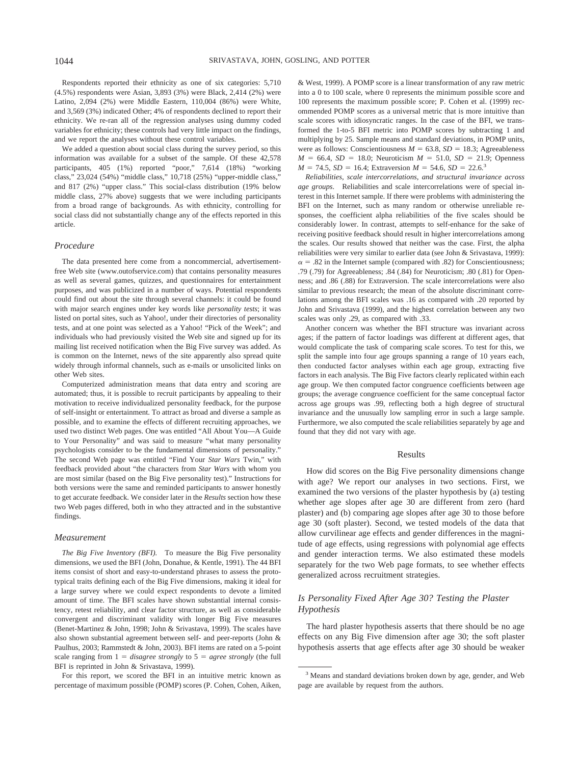Respondents reported their ethnicity as one of six categories: 5,710 (4.5%) respondents were Asian, 3,893 (3%) were Black, 2,414 (2%) were Latino, 2,094 (2%) were Middle Eastern, 110,004 (86%) were White, and 3,569 (3%) indicated Other; 4% of respondents declined to report their ethnicity. We re-ran all of the regression analyses using dummy coded variables for ethnicity; these controls had very little impact on the findings, and we report the analyses without these control variables.

We added a question about social class during the survey period, so this information was available for a subset of the sample. Of these 42,578 participants, 405 (1%) reported "poor," 7,614 (18%) "working class," 23,024 (54%) "middle class," 10,718 (25%) "upper-middle class," and 817 (2%) "upper class." This social-class distribution (19% below middle class, 27% above) suggests that we were including participants from a broad range of backgrounds. As with ethnicity, controlling for social class did not substantially change any of the effects reported in this article.

#### *Procedure*

The data presented here come from a noncommercial, advertisementfree Web site (www.outofservice.com) that contains personality measures as well as several games, quizzes, and questionnaires for entertainment purposes, and was publicized in a number of ways. Potential respondents could find out about the site through several channels: it could be found with major search engines under key words like *personality tests*; it was listed on portal sites, such as Yahoo!, under their directories of personality tests, and at one point was selected as a Yahoo! "Pick of the Week"; and individuals who had previously visited the Web site and signed up for its mailing list received notification when the Big Five survey was added. As is common on the Internet, news of the site apparently also spread quite widely through informal channels, such as e-mails or unsolicited links on other Web sites.

Computerized administration means that data entry and scoring are automated; thus, it is possible to recruit participants by appealing to their motivation to receive individualized personality feedback, for the purpose of self-insight or entertainment. To attract as broad and diverse a sample as possible, and to examine the effects of different recruiting approaches, we used two distinct Web pages. One was entitled "All About You—A Guide to Your Personality" and was said to measure "what many personality psychologists consider to be the fundamental dimensions of personality." The second Web page was entitled "Find Your *Star Wars* Twin," with feedback provided about "the characters from *Star Wars* with whom you are most similar (based on the Big Five personality test)." Instructions for both versions were the same and reminded participants to answer honestly to get accurate feedback. We consider later in the *Results* section how these two Web pages differed, both in who they attracted and in the substantive findings.

#### *Measurement*

*The Big Five Inventory (BFI).* To measure the Big Five personality dimensions, we used the BFI (John, Donahue, & Kentle, 1991). The 44 BFI items consist of short and easy-to-understand phrases to assess the prototypical traits defining each of the Big Five dimensions, making it ideal for a large survey where we could expect respondents to devote a limited amount of time. The BFI scales have shown substantial internal consistency, retest reliability, and clear factor structure, as well as considerable convergent and discriminant validity with longer Big Five measures (Benet-Martinez & John, 1998; John & Srivastava, 1999). The scales have also shown substantial agreement between self- and peer-reports (John & Paulhus, 2003; Rammstedt & John, 2003). BFI items are rated on a 5-point scale ranging from  $1 = disagree$  strongly to  $5 = agree$  strongly (the full BFI is reprinted in John & Srivastava, 1999).

For this report, we scored the BFI in an intuitive metric known as percentage of maximum possible (POMP) scores (P. Cohen, Cohen, Aiken, & West, 1999). A POMP score is a linear transformation of any raw metric into a 0 to 100 scale, where 0 represents the minimum possible score and 100 represents the maximum possible score; P. Cohen et al. (1999) recommended POMP scores as a universal metric that is more intuitive than scale scores with idiosyncratic ranges. In the case of the BFI, we transformed the 1-to-5 BFI metric into POMP scores by subtracting 1 and multiplying by 25. Sample means and standard deviations, in POMP units, were as follows: Conscientiousness  $M = 63.8$ ,  $SD = 18.3$ ; Agreeableness  $M = 66.4$ ,  $SD = 18.0$ ; Neuroticism  $M = 51.0$ ,  $SD = 21.9$ ; Openness  $M = 74.5$ ,  $SD = 16.4$ ; Extraversion  $M = 54.6$ ,  $SD = 22.6$ <sup>3</sup>

*Reliabilities, scale intercorrelations, and structural invariance across age groups.* Reliabilities and scale intercorrelations were of special interest in this Internet sample. If there were problems with administering the BFI on the Internet, such as many random or otherwise unreliable responses, the coefficient alpha reliabilities of the five scales should be considerably lower. In contrast, attempts to self-enhance for the sake of receiving positive feedback should result in higher intercorrelations among the scales. Our results showed that neither was the case. First, the alpha reliabilities were very similar to earlier data (see John & Srivastava, 1999):  $\alpha$  = .82 in the Internet sample (compared with .82) for Conscientiousness; .79 (.79) for Agreeableness; .84 (.84) for Neuroticism; .80 (.81) for Openness; and .86 (.88) for Extraversion. The scale intercorrelations were also similar to previous research; the mean of the absolute discriminant correlations among the BFI scales was .16 as compared with .20 reported by John and Srivastava (1999), and the highest correlation between any two scales was only .29, as compared with .33.

Another concern was whether the BFI structure was invariant across ages; if the pattern of factor loadings was different at different ages, that would complicate the task of comparing scale scores. To test for this, we split the sample into four age groups spanning a range of 10 years each, then conducted factor analyses within each age group, extracting five factors in each analysis. The Big Five factors clearly replicated within each age group. We then computed factor congruence coefficients between age groups; the average congruence coefficient for the same conceptual factor across age groups was .99, reflecting both a high degree of structural invariance and the unusually low sampling error in such a large sample. Furthermore, we also computed the scale reliabilities separately by age and found that they did not vary with age.

## Results

How did scores on the Big Five personality dimensions change with age? We report our analyses in two sections. First, we examined the two versions of the plaster hypothesis by (a) testing whether age slopes after age 30 are different from zero (hard plaster) and (b) comparing age slopes after age 30 to those before age 30 (soft plaster). Second, we tested models of the data that allow curvilinear age effects and gender differences in the magnitude of age effects, using regressions with polynomial age effects and gender interaction terms. We also estimated these models separately for the two Web page formats, to see whether effects generalized across recruitment strategies.

## *Is Personality Fixed After Age 30? Testing the Plaster Hypothesis*

The hard plaster hypothesis asserts that there should be no age effects on any Big Five dimension after age 30; the soft plaster hypothesis asserts that age effects after age 30 should be weaker

<sup>&</sup>lt;sup>3</sup> Means and standard deviations broken down by age, gender, and Web page are available by request from the authors.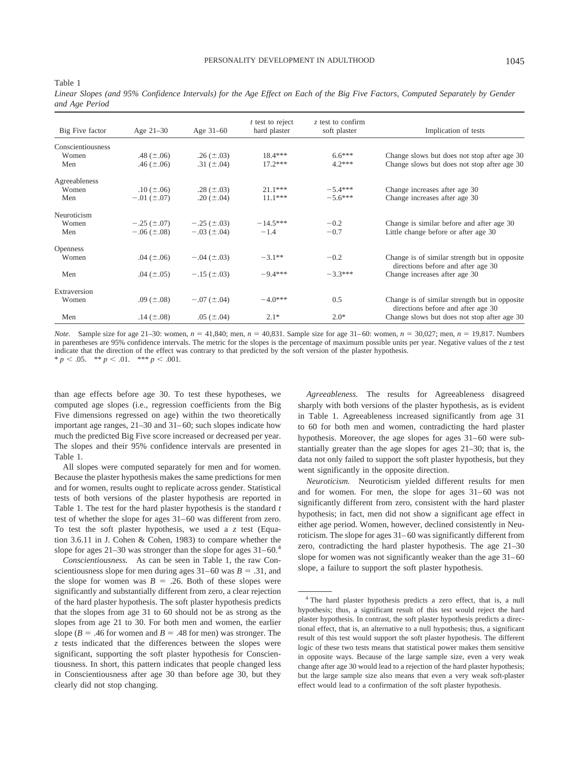Table 1

Table 1.

| Big Five factor   | Age $21-30$        | Age $31-60$          | t test to reject<br>hard plaster | $z$ test to confirm<br>soft plaster | Implication of tests                                                                |
|-------------------|--------------------|----------------------|----------------------------------|-------------------------------------|-------------------------------------------------------------------------------------|
| Conscientiousness |                    |                      |                                  |                                     |                                                                                     |
| Women             | .48 $(\pm .06)$    | .26 $(\pm .03)$      | $18.4***$                        | $6.6***$                            | Change slows but does not stop after age 30                                         |
| Men               | .46 $(\pm .06)$    | .31 $(\pm .04)$      | $17.2***$                        | $4.2***$                            | Change slows but does not stop after age 30                                         |
| Agreeableness     |                    |                      |                                  |                                     |                                                                                     |
| Women             | $.10 \ (\pm .06)$  | .28 $(\pm .03)$      | $21.1***$                        | $-5.4***$                           | Change increases after age 30                                                       |
| Men               | $-.01 (\pm .07)$   | .20 $(\pm .04)$      | $11.1***$                        | $-5.6***$                           | Change increases after age 30                                                       |
| Neuroticism       |                    |                      |                                  |                                     |                                                                                     |
| Women             | $-.25 \ (\pm .07)$ | $-.25 (\pm .03)$     | $-14.5***$                       | $-0.2$                              | Change is similar before and after age 30                                           |
| Men               | $-.06 (\pm .08)$   | $-.03$ ( $\pm .04$ ) | $-1.4$                           | $-0.7$                              | Little change before or after age 30                                                |
| <b>Openness</b>   |                    |                      |                                  |                                     |                                                                                     |
| Women             | .04 $(\pm .06)$    | $-.04 \ (\pm .03)$   | $-3.1**$                         | $-0.2$                              | Change is of similar strength but in opposite<br>directions before and after age 30 |
| Men               | .04 $(\pm .05)$    | $-.15 (\pm .03)$     | $-9.4***$                        | $-3.3***$                           | Change increases after age 30                                                       |
| Extraversion      |                    |                      |                                  |                                     |                                                                                     |
| Women             | .09 $(\pm .08)$    | $-.07 \, (\pm .04)$  | $-4.0***$                        | 0.5                                 | Change is of similar strength but in opposite<br>directions before and after age 30 |
| Men               | .14 $(\pm .08)$    | .05 $(\pm .04)$      | $2.1*$                           | $2.0*$                              | Change slows but does not stop after age 30                                         |

*Linear Slopes (and 95% Confidence Intervals) for the Age Effect on Each of the Big Five Factors, Computed Separately by Gender and Age Period*

*Note.* Sample size for age 21–30: women,  $n = 41,840$ ; men,  $n = 40,831$ . Sample size for age 31–60: women,  $n = 30,027$ ; men,  $n = 19,817$ . Numbers in parentheses are 95% confidence intervals. The metric for the slopes is the percentage of maximum possible units per year. Negative values of the *z* test indicate that the direction of the effect was contrary to that predicted by the soft version of the plaster hypothesis.  $* p < .05.$  \*\*  $p < .01.$  \*\*\*  $p < .001.$ 

than age effects before age 30. To test these hypotheses, we computed age slopes (i.e., regression coefficients from the Big Five dimensions regressed on age) within the two theoretically important age ranges, 21–30 and 31–60; such slopes indicate how much the predicted Big Five score increased or decreased per year. The slopes and their 95% confidence intervals are presented in

All slopes were computed separately for men and for women. Because the plaster hypothesis makes the same predictions for men and for women, results ought to replicate across gender. Statistical tests of both versions of the plaster hypothesis are reported in Table 1. The test for the hard plaster hypothesis is the standard *t* test of whether the slope for ages 31–60 was different from zero. To test the soft plaster hypothesis, we used a *z* test (Equation 3.6.11 in J. Cohen & Cohen, 1983) to compare whether the slope for ages 21–30 was stronger than the slope for ages  $31-60$ .<sup>4</sup>

*Conscientiousness.* As can be seen in Table 1, the raw Conscientiousness slope for men during ages  $31-60$  was  $B = .31$ , and the slope for women was  $B = .26$ . Both of these slopes were significantly and substantially different from zero, a clear rejection of the hard plaster hypothesis. The soft plaster hypothesis predicts that the slopes from age 31 to 60 should not be as strong as the slopes from age 21 to 30. For both men and women, the earlier slope ( $B = .46$  for women and  $B = .48$  for men) was stronger. The *z* tests indicated that the differences between the slopes were significant, supporting the soft plaster hypothesis for Conscientiousness. In short, this pattern indicates that people changed less in Conscientiousness after age 30 than before age 30, but they clearly did not stop changing.

*Agreeableness.* The results for Agreeableness disagreed sharply with both versions of the plaster hypothesis, as is evident in Table 1. Agreeableness increased significantly from age 31 to 60 for both men and women, contradicting the hard plaster hypothesis. Moreover, the age slopes for ages 31–60 were substantially greater than the age slopes for ages 21–30; that is, the data not only failed to support the soft plaster hypothesis, but they went significantly in the opposite direction.

*Neuroticism.* Neuroticism yielded different results for men and for women. For men, the slope for ages 31–60 was not significantly different from zero, consistent with the hard plaster hypothesis; in fact, men did not show a significant age effect in either age period. Women, however, declined consistently in Neuroticism. The slope for ages 31–60 was significantly different from zero, contradicting the hard plaster hypothesis. The age 21–30 slope for women was not significantly weaker than the age 31–60 slope, a failure to support the soft plaster hypothesis.

<sup>4</sup> The hard plaster hypothesis predicts a zero effect, that is, a null hypothesis; thus, a significant result of this test would reject the hard plaster hypothesis. In contrast, the soft plaster hypothesis predicts a directional effect, that is, an alternative to a null hypothesis; thus, a significant result of this test would support the soft plaster hypothesis. The different logic of these two tests means that statistical power makes them sensitive in opposite ways. Because of the large sample size, even a very weak change after age 30 would lead to a rejection of the hard plaster hypothesis; but the large sample size also means that even a very weak soft-plaster effect would lead to a confirmation of the soft plaster hypothesis.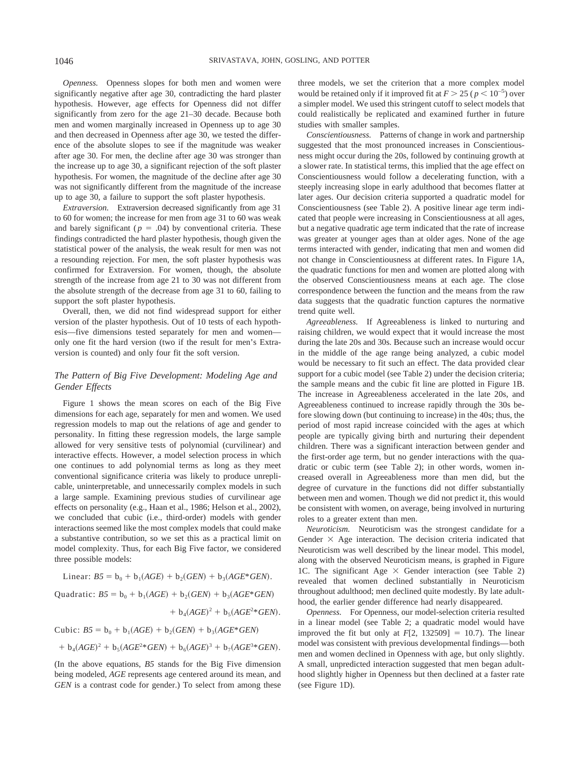*Openness.* Openness slopes for both men and women were significantly negative after age 30, contradicting the hard plaster hypothesis. However, age effects for Openness did not differ significantly from zero for the age 21–30 decade. Because both men and women marginally increased in Openness up to age 30 and then decreased in Openness after age 30, we tested the difference of the absolute slopes to see if the magnitude was weaker after age 30. For men, the decline after age 30 was stronger than the increase up to age 30, a significant rejection of the soft plaster hypothesis. For women, the magnitude of the decline after age 30 was not significantly different from the magnitude of the increase up to age 30, a failure to support the soft plaster hypothesis.

*Extraversion.* Extraversion decreased significantly from age 31 to 60 for women; the increase for men from age 31 to 60 was weak and barely significant ( $p = .04$ ) by conventional criteria. These findings contradicted the hard plaster hypothesis, though given the statistical power of the analysis, the weak result for men was not a resounding rejection. For men, the soft plaster hypothesis was confirmed for Extraversion. For women, though, the absolute strength of the increase from age 21 to 30 was not different from the absolute strength of the decrease from age 31 to 60, failing to support the soft plaster hypothesis.

Overall, then, we did not find widespread support for either version of the plaster hypothesis. Out of 10 tests of each hypothesis—five dimensions tested separately for men and women only one fit the hard version (two if the result for men's Extraversion is counted) and only four fit the soft version.

## *The Pattern of Big Five Development: Modeling Age and Gender Effects*

Figure 1 shows the mean scores on each of the Big Five dimensions for each age, separately for men and women. We used regression models to map out the relations of age and gender to personality. In fitting these regression models, the large sample allowed for very sensitive tests of polynomial (curvilinear) and interactive effects. However, a model selection process in which one continues to add polynomial terms as long as they meet conventional significance criteria was likely to produce unreplicable, uninterpretable, and unnecessarily complex models in such a large sample. Examining previous studies of curvilinear age effects on personality (e.g., Haan et al., 1986; Helson et al., 2002), we concluded that cubic (i.e., third-order) models with gender interactions seemed like the most complex models that could make a substantive contribution, so we set this as a practical limit on model complexity. Thus, for each Big Five factor, we considered three possible models:

 $\text{Linear: } B5 = b_0 + b_1(AGE) + b_2(GEN) + b_3(AGE*GEN).$ Quadratic:  $B5 = b_0 + b_1(AGE) + b_2(GEN) + b_3(AGE*GEN)$ 

+  $b_4(AGE)^2 + b_5(AGE^2*GEN)$ .

Cubic:  $B5 = b_0 + b_1(AGE) + b_2(GEN) + b_3(AGE*GEN)$ +  $b_4(AGE)^2 + b_5(AGE^2*GEN) + b_6(AGE)^3 + b_7(AGE^3*GEN).$ 

(In the above equations, *B5* stands for the Big Five dimension being modeled, *AGE* represents age centered around its mean, and *GEN* is a contrast code for gender.) To select from among these three models, we set the criterion that a more complex model would be retained only if it improved fit at  $F > 25$  ( $p < 10^{-5}$ ) over a simpler model. We used this stringent cutoff to select models that could realistically be replicated and examined further in future studies with smaller samples.

*Conscientiousness.* Patterns of change in work and partnership suggested that the most pronounced increases in Conscientiousness might occur during the 20s, followed by continuing growth at a slower rate. In statistical terms, this implied that the age effect on Conscientiousness would follow a decelerating function, with a steeply increasing slope in early adulthood that becomes flatter at later ages. Our decision criteria supported a quadratic model for Conscientiousness (see Table 2). A positive linear age term indicated that people were increasing in Conscientiousness at all ages, but a negative quadratic age term indicated that the rate of increase was greater at younger ages than at older ages. None of the age terms interacted with gender, indicating that men and women did not change in Conscientiousness at different rates. In Figure 1A, the quadratic functions for men and women are plotted along with the observed Conscientiousness means at each age. The close correspondence between the function and the means from the raw data suggests that the quadratic function captures the normative trend quite well.

*Agreeableness.* If Agreeableness is linked to nurturing and raising children, we would expect that it would increase the most during the late 20s and 30s. Because such an increase would occur in the middle of the age range being analyzed, a cubic model would be necessary to fit such an effect. The data provided clear support for a cubic model (see Table 2) under the decision criteria; the sample means and the cubic fit line are plotted in Figure 1B. The increase in Agreeableness accelerated in the late 20s, and Agreeableness continued to increase rapidly through the 30s before slowing down (but continuing to increase) in the 40s; thus, the period of most rapid increase coincided with the ages at which people are typically giving birth and nurturing their dependent children. There was a significant interaction between gender and the first-order age term, but no gender interactions with the quadratic or cubic term (see Table 2); in other words, women increased overall in Agreeableness more than men did, but the degree of curvature in the functions did not differ substantially between men and women. Though we did not predict it, this would be consistent with women, on average, being involved in nurturing roles to a greater extent than men.

*Neuroticism.* Neuroticism was the strongest candidate for a Gender  $\times$  Age interaction. The decision criteria indicated that Neuroticism was well described by the linear model. This model, along with the observed Neuroticism means, is graphed in Figure 1C. The significant Age  $\times$  Gender interaction (see Table 2) revealed that women declined substantially in Neuroticism throughout adulthood; men declined quite modestly. By late adulthood, the earlier gender difference had nearly disappeared.

*Openness.* For Openness, our model-selection criteria resulted in a linear model (see Table 2; a quadratic model would have improved the fit but only at  $F[2, 132509] = 10.7$ ). The linear model was consistent with previous developmental findings—both men and women declined in Openness with age, but only slightly. A small, unpredicted interaction suggested that men began adulthood slightly higher in Openness but then declined at a faster rate (see Figure 1D).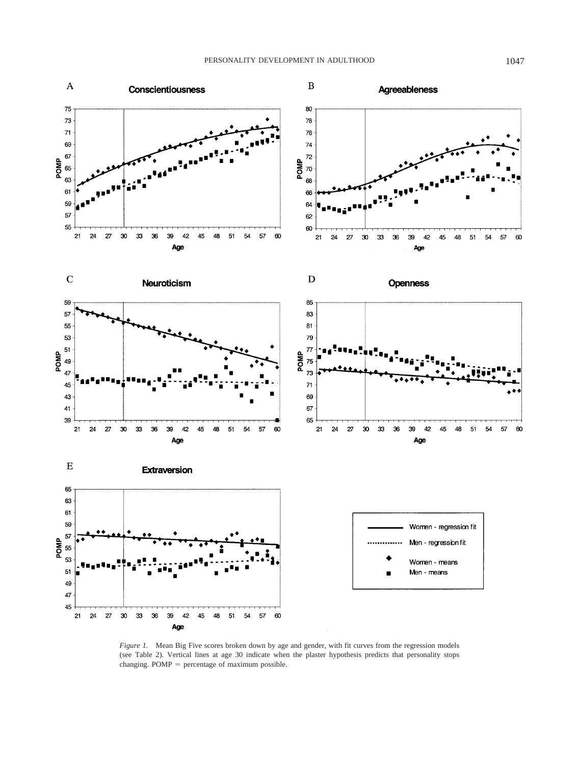

*Figure 1.* Mean Big Five scores broken down by age and gender, with fit curves from the regression models (see Table 2). Vertical lines at age 30 indicate when the plaster hypothesis predicts that personality stops changing.  $POMP$  = percentage of maximum possible.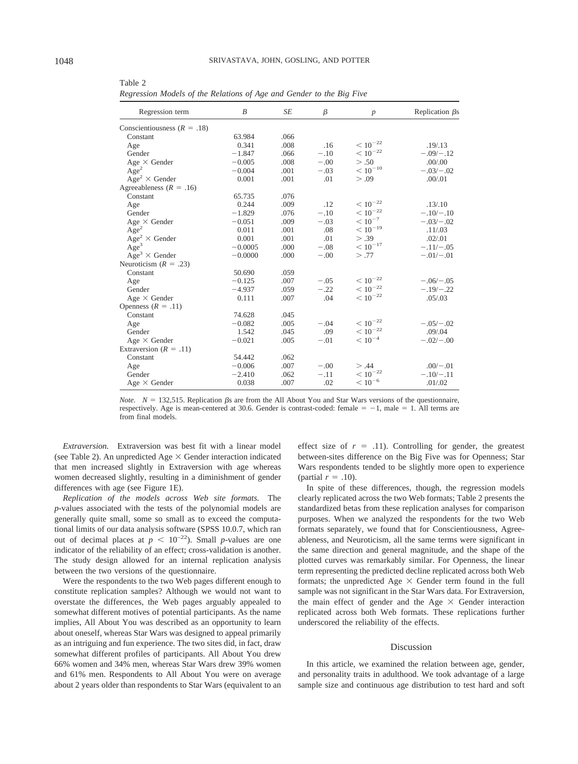| Regression term                  | $\boldsymbol{B}$ | SE   | β      | $\boldsymbol{p}$ | Replication $\beta s$ |
|----------------------------------|------------------|------|--------|------------------|-----------------------|
| Conscientiousness ( $R = .18$ )  |                  |      |        |                  |                       |
| Constant                         | 63.984           | .066 |        |                  |                       |
| Age                              | 0.341            | .008 | .16    | $< 10^{-22}$     | .19/0.13              |
| Gender                           | $-1.847$         | .066 | $-.10$ | $< 10^{-22}$     | $-.09/-.12$           |
| Age $\times$ Gender              | $-0.005$         | .008 | $-.00$ | > .50            | .00/00                |
| Age <sup>2</sup>                 | $-0.004$         | .001 | $-.03$ | $< 10^{-10}$     | $-.03/-.02$           |
| Age <sup>2</sup> $\times$ Gender | 0.001            | .001 | .01    | > .09            | .00/0.01              |
| Agreeableness ( $R = .16$ )      |                  |      |        |                  |                       |
| Constant                         | 65.735           | .076 |        |                  |                       |
| Age                              | 0.244            | .009 | .12    | $< 10^{-22}$     | .13/.10               |
| Gender                           | $-1.829$         | .076 | $-.10$ | $< 10^{-22}$     | $-.10/-.10$           |
| Age $\times$ Gender              | $-0.051$         | .009 | $-.03$ | $< 10^{-7}$      | $-.03/-.02$           |
| Age <sup>2</sup>                 | 0.011            | .001 | .08    | $\leq 10^{-19}$  | .11/03                |
| $Age^2 \times$ Gender            | 0.001            | .001 | .01    | > .39            | .02/01                |
| Age <sup>3</sup>                 | $-0.0005$        | .000 | $-.08$ | $< 10^{-17}$     | $-.11/-.05$           |
| $Age3 \times Gender$             | $-0.0000$        | .000 | $-.00$ | > .77            | $-.01/-.01$           |
| Neuroticism $(R = .23)$          |                  |      |        |                  |                       |
| Constant                         | 50.690           | .059 |        |                  |                       |
| Age                              | $-0.125$         | .007 | $-.05$ | $< 10^{-22}$     | $-.06/-.05$           |
| Gender                           | $-4.937$         | .059 | $-.22$ | $\leq 10^{-22}$  | $-.19/-.22$           |
| Age $\times$ Gender              | 0.111            | .007 | .04    | $< 10^{-22}$     | .05/.03               |
| Openness $(R = .11)$             |                  |      |        |                  |                       |
| Constant                         | 74.628           | .045 |        |                  |                       |
| Age                              | $-0.082$         | .005 | $-.04$ | $\leq 10^{-22}$  | $-.05/-.02$           |
| Gender                           | 1.542            | .045 | .09    | $< 10^{-22}\,$   | .09/0.04              |
| Age $\times$ Gender              | $-0.021$         | .005 | $-.01$ | $\leq 10^{-4}$   | $-.02/-.00$           |
| Extraversion $(R = .11)$         |                  |      |        |                  |                       |
| Constant                         | 54.442           | .062 |        |                  |                       |
| Age                              | $-0.006$         | .007 | $-.00$ | > .44            | $.00/-.01$            |
| Gender                           | $-2.410$         | .062 | $-.11$ | $< 10^{-22}$     | $-.10/-.11$           |
| Age $\times$ Gender              | 0.038            | .007 | .02    | $\leq 10^{-6}$   | .01/.02               |

Table 2 *Regression Models of the Relations of Age and Gender to the Big Five*

*Note.*  $N = 132,515$ . Replication  $\beta s$  are from the All About You and Star Wars versions of the questionnaire, respectively. Age is mean-centered at 30.6. Gender is contrast-coded: female  $= -1$ , male  $= 1$ . All terms are from final models.

*Extraversion.* Extraversion was best fit with a linear model (see Table 2). An unpredicted Age  $\times$  Gender interaction indicated that men increased slightly in Extraversion with age whereas women decreased slightly, resulting in a diminishment of gender differences with age (see Figure 1E).

*Replication of the models across Web site formats.* The *p*-values associated with the tests of the polynomial models are generally quite small, some so small as to exceed the computational limits of our data analysis software (SPSS 10.0.7, which ran out of decimal places at  $p < 10^{-22}$ ). Small *p*-values are one indicator of the reliability of an effect; cross-validation is another. The study design allowed for an internal replication analysis between the two versions of the questionnaire.

Were the respondents to the two Web pages different enough to constitute replication samples? Although we would not want to overstate the differences, the Web pages arguably appealed to somewhat different motives of potential participants. As the name implies, All About You was described as an opportunity to learn about oneself, whereas Star Wars was designed to appeal primarily as an intriguing and fun experience. The two sites did, in fact, draw somewhat different profiles of participants. All About You drew 66% women and 34% men, whereas Star Wars drew 39% women and 61% men. Respondents to All About You were on average about 2 years older than respondents to Star Wars (equivalent to an effect size of  $r = .11$ ). Controlling for gender, the greatest between-sites difference on the Big Five was for Openness; Star Wars respondents tended to be slightly more open to experience (partial  $r = .10$ ).

In spite of these differences, though, the regression models clearly replicated across the two Web formats; Table 2 presents the standardized betas from these replication analyses for comparison purposes. When we analyzed the respondents for the two Web formats separately, we found that for Conscientiousness, Agreeableness, and Neuroticism, all the same terms were significant in the same direction and general magnitude, and the shape of the plotted curves was remarkably similar. For Openness, the linear term representing the predicted decline replicated across both Web formats; the unpredicted Age  $\times$  Gender term found in the full sample was not significant in the Star Wars data. For Extraversion, the main effect of gender and the Age  $\times$  Gender interaction replicated across both Web formats. These replications further underscored the reliability of the effects.

#### Discussion

In this article, we examined the relation between age, gender, and personality traits in adulthood. We took advantage of a large sample size and continuous age distribution to test hard and soft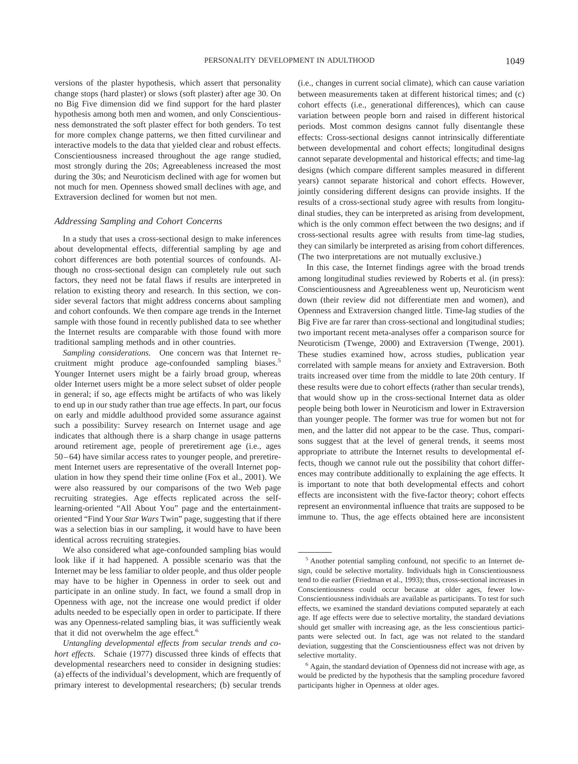versions of the plaster hypothesis, which assert that personality change stops (hard plaster) or slows (soft plaster) after age 30. On no Big Five dimension did we find support for the hard plaster hypothesis among both men and women, and only Conscientiousness demonstrated the soft plaster effect for both genders. To test for more complex change patterns, we then fitted curvilinear and interactive models to the data that yielded clear and robust effects. Conscientiousness increased throughout the age range studied, most strongly during the 20s; Agreeableness increased the most during the 30s; and Neuroticism declined with age for women but not much for men. Openness showed small declines with age, and Extraversion declined for women but not men.

## *Addressing Sampling and Cohort Concerns*

In a study that uses a cross-sectional design to make inferences about developmental effects, differential sampling by age and cohort differences are both potential sources of confounds. Although no cross-sectional design can completely rule out such factors, they need not be fatal flaws if results are interpreted in relation to existing theory and research. In this section, we consider several factors that might address concerns about sampling and cohort confounds. We then compare age trends in the Internet sample with those found in recently published data to see whether the Internet results are comparable with those found with more traditional sampling methods and in other countries.

*Sampling considerations.* One concern was that Internet recruitment might produce age-confounded sampling biases.<sup>5</sup> Younger Internet users might be a fairly broad group, whereas older Internet users might be a more select subset of older people in general; if so, age effects might be artifacts of who was likely to end up in our study rather than true age effects. In part, our focus on early and middle adulthood provided some assurance against such a possibility: Survey research on Internet usage and age indicates that although there is a sharp change in usage patterns around retirement age, people of preretirement age (i.e., ages 50–64) have similar access rates to younger people, and preretirement Internet users are representative of the overall Internet population in how they spend their time online (Fox et al., 2001). We were also reassured by our comparisons of the two Web page recruiting strategies. Age effects replicated across the selflearning-oriented "All About You" page and the entertainmentoriented "Find Your *Star Wars* Twin" page, suggesting that if there was a selection bias in our sampling, it would have to have been identical across recruiting strategies.

We also considered what age-confounded sampling bias would look like if it had happened. A possible scenario was that the Internet may be less familiar to older people, and thus older people may have to be higher in Openness in order to seek out and participate in an online study. In fact, we found a small drop in Openness with age, not the increase one would predict if older adults needed to be especially open in order to participate. If there was any Openness-related sampling bias, it was sufficiently weak that it did not overwhelm the age effect.<sup>6</sup>

(i.e., changes in current social climate), which can cause variation between measurements taken at different historical times; and (c) cohort effects (i.e., generational differences), which can cause variation between people born and raised in different historical periods. Most common designs cannot fully disentangle these effects: Cross-sectional designs cannot intrinsically differentiate between developmental and cohort effects; longitudinal designs cannot separate developmental and historical effects; and time-lag designs (which compare different samples measured in different years) cannot separate historical and cohort effects. However, jointly considering different designs can provide insights. If the results of a cross-sectional study agree with results from longitudinal studies, they can be interpreted as arising from development, which is the only common effect between the two designs; and if cross-sectional results agree with results from time-lag studies, they can similarly be interpreted as arising from cohort differences. (The two interpretations are not mutually exclusive.)

In this case, the Internet findings agree with the broad trends among longitudinal studies reviewed by Roberts et al. (in press): Conscientiousness and Agreeableness went up, Neuroticism went down (their review did not differentiate men and women), and Openness and Extraversion changed little. Time-lag studies of the Big Five are far rarer than cross-sectional and longitudinal studies; two important recent meta-analyses offer a comparison source for Neuroticism (Twenge, 2000) and Extraversion (Twenge, 2001). These studies examined how, across studies, publication year correlated with sample means for anxiety and Extraversion. Both traits increased over time from the middle to late 20th century. If these results were due to cohort effects (rather than secular trends), that would show up in the cross-sectional Internet data as older people being both lower in Neuroticism and lower in Extraversion than younger people. The former was true for women but not for men, and the latter did not appear to be the case. Thus, comparisons suggest that at the level of general trends, it seems most appropriate to attribute the Internet results to developmental effects, though we cannot rule out the possibility that cohort differences may contribute additionally to explaining the age effects. It is important to note that both developmental effects and cohort effects are inconsistent with the five-factor theory; cohort effects represent an environmental influence that traits are supposed to be immune to. Thus, the age effects obtained here are inconsistent

*Untangling developmental effects from secular trends and cohort effects.* Schaie (1977) discussed three kinds of effects that developmental researchers need to consider in designing studies: (a) effects of the individual's development, which are frequently of primary interest to developmental researchers; (b) secular trends

<sup>5</sup> Another potential sampling confound, not specific to an Internet design, could be selective mortality. Individuals high in Conscientiousness tend to die earlier (Friedman et al., 1993); thus, cross-sectional increases in Conscientiousness could occur because at older ages, fewer low-Conscientiousness individuals are available as participants. To test for such effects, we examined the standard deviations computed separately at each age. If age effects were due to selective mortality, the standard deviations should get smaller with increasing age, as the less conscientious participants were selected out. In fact, age was not related to the standard deviation, suggesting that the Conscientiousness effect was not driven by selective mortality.

<sup>6</sup> Again, the standard deviation of Openness did not increase with age, as would be predicted by the hypothesis that the sampling procedure favored participants higher in Openness at older ages.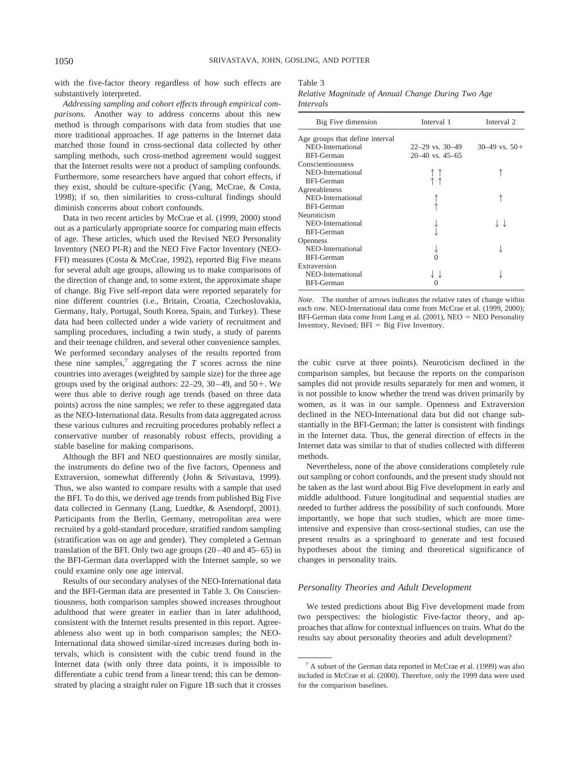with the five-factor theory regardless of how such effects are substantively interpreted.

*Addressing sampling and cohort effects through empirical comparisons.* Another way to address concerns about this new method is through comparisons with data from studies that use more traditional approaches. If age patterns in the Internet data matched those found in cross-sectional data collected by other sampling methods, such cross-method agreement would suggest that the Internet results were not a product of sampling confounds. Furthermore, some researchers have argued that cohort effects, if they exist, should be culture-specific (Yang, McCrae, & Costa, 1998); if so, then similarities to cross-cultural findings should diminish concerns about cohort confounds.

Data in two recent articles by McCrae et al. (1999, 2000) stood out as a particularly appropriate source for comparing main effects of age. These articles, which used the Revised NEO Personality Inventory (NEO PI-R) and the NEO Five Factor Inventory (NEO-FFI) measures (Costa & McCrae, 1992), reported Big Five means for several adult age groups, allowing us to make comparisons of the direction of change and, to some extent, the approximate shape of change. Big Five self-report data were reported separately for nine different countries (i.e., Britain, Croatia, Czechoslovakia, Germany, Italy, Portugal, South Korea, Spain, and Turkey). These data had been collected under a wide variety of recruitment and sampling procedures, including a twin study, a study of parents and their teenage children, and several other convenience samples. We performed secondary analyses of the results reported from these nine samples, $7$  aggregating the  $T$  scores across the nine countries into averages (weighted by sample size) for the three age groups used by the original authors:  $22-29$ ,  $30-49$ , and  $50+$ . We were thus able to derive rough age trends (based on three data points) across the nine samples; we refer to these aggregated data as the NEO-International data. Results from data aggregated across these various cultures and recruiting procedures probably reflect a conservative number of reasonably robust effects, providing a stable baseline for making comparisons.

Although the BFI and NEO questionnaires are mostly similar, the instruments do define two of the five factors, Openness and Extraversion, somewhat differently (John & Srivastava, 1999). Thus, we also wanted to compare results with a sample that used the BFI. To do this, we derived age trends from published Big Five data collected in Germany (Lang, Luedtke, & Asendorpf, 2001). Participants from the Berlin, Germany, metropolitan area were recruited by a gold-standard procedure, stratified random sampling (stratification was on age and gender). They completed a German translation of the BFI. Only two age groups (20–40 and 45–65) in the BFI-German data overlapped with the Internet sample, so we could examine only one age interval.

Results of our secondary analyses of the NEO-International data and the BFI-German data are presented in Table 3. On Conscientiousness, both comparison samples showed increases throughout adulthood that were greater in earlier than in later adulthood, consistent with the Internet results presented in this report. Agreeableness also went up in both comparison samples; the NEO-International data showed similar-sized increases during both intervals, which is consistent with the cubic trend found in the Internet data (with only three data points, it is impossible to differentiate a cubic trend from a linear trend; this can be demonstrated by placing a straight ruler on Figure 1B such that it crosses

# Table 3

*Relative Magnitude of Annual Change During Two Age Intervals*

| Big Five dimension              | Interval 1              | Interval 2        |
|---------------------------------|-------------------------|-------------------|
| Age groups that define interval |                         |                   |
| NEO-International               | $22 - 29$ vs. $30 - 49$ | $30-49$ vs. $50+$ |
| <b>BFI-German</b>               | $20-40$ vs. $45-65$     |                   |
| Conscientiousness               |                         |                   |
| NEO-International               |                         |                   |
| <b>BFI-German</b>               |                         |                   |
| Agreeableness                   |                         |                   |
| NEO-International               |                         |                   |
| <b>BFI-German</b>               |                         |                   |
| Neuroticism                     |                         |                   |
| NEO-International               |                         |                   |
| <b>BFI-German</b>               |                         |                   |
| <b>Openness</b>                 |                         |                   |
| NEO-International               |                         |                   |
| <b>BFI-German</b>               |                         |                   |
| Extraversion                    |                         |                   |
| NEO-International               |                         |                   |
| <b>BFI-German</b>               |                         |                   |

*Note.* The number of arrows indicates the relative rates of change within each row. NEO-International data come from McCrae et al. (1999, 2000); BFI-German data come from Lang et al.  $(2001)$ , NEO = NEO Personality Inventory, Revised;  $BFI = Big Five Inventory$ .

the cubic curve at three points). Neuroticism declined in the comparison samples, but because the reports on the comparison samples did not provide results separately for men and women, it is not possible to know whether the trend was driven primarily by women, as it was in our sample. Openness and Extraversion declined in the NEO-International data but did not change substantially in the BFI-German; the latter is consistent with findings in the Internet data. Thus, the general direction of effects in the Internet data was similar to that of studies collected with different methods.

Nevertheless, none of the above considerations completely rule out sampling or cohort confounds, and the present study should not be taken as the last word about Big Five development in early and middle adulthood. Future longitudinal and sequential studies are needed to further address the possibility of such confounds. More importantly, we hope that such studies, which are more timeintensive and expensive than cross-sectional studies, can use the present results as a springboard to generate and test focused hypotheses about the timing and theoretical significance of changes in personality traits.

## *Personality Theories and Adult Development*

We tested predictions about Big Five development made from two perspectives: the biologistic Five-factor theory, and approaches that allow for contextual influences on traits. What do the results say about personality theories and adult development?

 $<sup>7</sup>$  A subset of the German data reported in McCrae et al. (1999) was also</sup> included in McCrae et al. (2000). Therefore, only the 1999 data were used for the comparison baselines.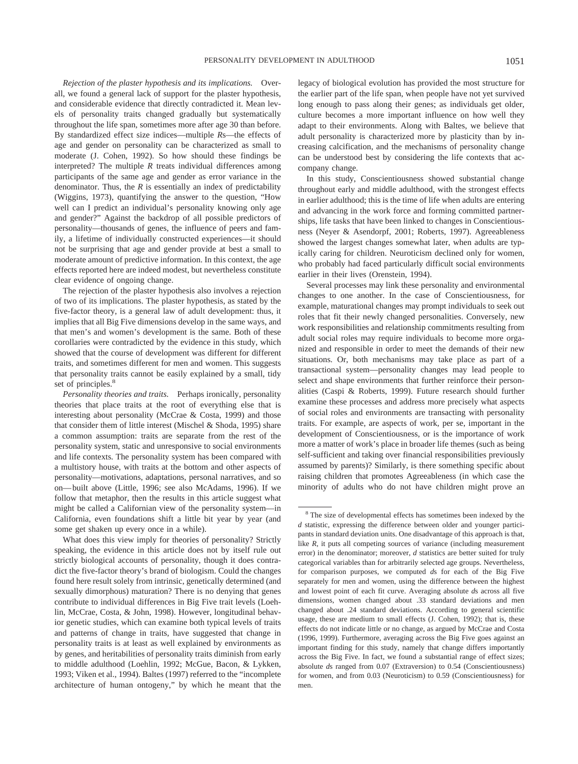*Rejection of the plaster hypothesis and its implications.* Overall, we found a general lack of support for the plaster hypothesis, and considerable evidence that directly contradicted it. Mean levels of personality traits changed gradually but systematically throughout the life span, sometimes more after age 30 than before. By standardized effect size indices—multiple *R*s—the effects of age and gender on personality can be characterized as small to moderate (J. Cohen, 1992). So how should these findings be interpreted? The multiple *R* treats individual differences among participants of the same age and gender as error variance in the denominator. Thus, the  $R$  is essentially an index of predictability (Wiggins, 1973), quantifying the answer to the question, "How well can I predict an individual's personality knowing only age and gender?" Against the backdrop of all possible predictors of personality—thousands of genes, the influence of peers and family, a lifetime of individually constructed experiences—it should not be surprising that age and gender provide at best a small to moderate amount of predictive information. In this context, the age effects reported here are indeed modest, but nevertheless constitute clear evidence of ongoing change.

The rejection of the plaster hypothesis also involves a rejection of two of its implications. The plaster hypothesis, as stated by the five-factor theory, is a general law of adult development: thus, it implies that all Big Five dimensions develop in the same ways, and that men's and women's development is the same. Both of these corollaries were contradicted by the evidence in this study, which showed that the course of development was different for different traits, and sometimes different for men and women. This suggests that personality traits cannot be easily explained by a small, tidy set of principles.<sup>8</sup>

*Personality theories and traits.* Perhaps ironically, personality theories that place traits at the root of everything else that is interesting about personality (McCrae & Costa, 1999) and those that consider them of little interest (Mischel & Shoda, 1995) share a common assumption: traits are separate from the rest of the personality system, static and unresponsive to social environments and life contexts. The personality system has been compared with a multistory house, with traits at the bottom and other aspects of personality—motivations, adaptations, personal narratives, and so on—built above (Little, 1996; see also McAdams, 1996). If we follow that metaphor, then the results in this article suggest what might be called a Californian view of the personality system—in California, even foundations shift a little bit year by year (and some get shaken up every once in a while).

What does this view imply for theories of personality? Strictly speaking, the evidence in this article does not by itself rule out strictly biological accounts of personality, though it does contradict the five-factor theory's brand of biologism. Could the changes found here result solely from intrinsic, genetically determined (and sexually dimorphous) maturation? There is no denying that genes contribute to individual differences in Big Five trait levels (Loehlin, McCrae, Costa, & John, 1998). However, longitudinal behavior genetic studies, which can examine both typical levels of traits and patterns of change in traits, have suggested that change in personality traits is at least as well explained by environments as by genes, and heritabilities of personality traits diminish from early to middle adulthood (Loehlin, 1992; McGue, Bacon, & Lykken, 1993; Viken et al., 1994). Baltes (1997) referred to the "incomplete architecture of human ontogeny," by which he meant that the legacy of biological evolution has provided the most structure for the earlier part of the life span, when people have not yet survived long enough to pass along their genes; as individuals get older, culture becomes a more important influence on how well they adapt to their environments. Along with Baltes, we believe that adult personality is characterized more by plasticity than by increasing calcification, and the mechanisms of personality change can be understood best by considering the life contexts that accompany change.

In this study, Conscientiousness showed substantial change throughout early and middle adulthood, with the strongest effects in earlier adulthood; this is the time of life when adults are entering and advancing in the work force and forming committed partnerships, life tasks that have been linked to changes in Conscientiousness (Neyer & Asendorpf, 2001; Roberts, 1997). Agreeableness showed the largest changes somewhat later, when adults are typically caring for children. Neuroticism declined only for women, who probably had faced particularly difficult social environments earlier in their lives (Orenstein, 1994).

Several processes may link these personality and environmental changes to one another. In the case of Conscientiousness, for example, maturational changes may prompt individuals to seek out roles that fit their newly changed personalities. Conversely, new work responsibilities and relationship commitments resulting from adult social roles may require individuals to become more organized and responsible in order to meet the demands of their new situations. Or, both mechanisms may take place as part of a transactional system—personality changes may lead people to select and shape environments that further reinforce their personalities (Caspi & Roberts, 1999). Future research should further examine these processes and address more precisely what aspects of social roles and environments are transacting with personality traits. For example, are aspects of work, per se, important in the development of Conscientiousness, or is the importance of work more a matter of work's place in broader life themes (such as being self-sufficient and taking over financial responsibilities previously assumed by parents)? Similarly, is there something specific about raising children that promotes Agreeableness (in which case the minority of adults who do not have children might prove an

<sup>8</sup> The size of developmental effects has sometimes been indexed by the *d* statistic, expressing the difference between older and younger participants in standard deviation units. One disadvantage of this approach is that, like *R*, it puts all competing sources of variance (including measurement error) in the denominator; moreover, *d* statistics are better suited for truly categorical variables than for arbitrarily selected age groups. Nevertheless, for comparison purposes, we computed *d*s for each of the Big Five separately for men and women, using the difference between the highest and lowest point of each fit curve. Averaging absolute *d*s across all five dimensions, women changed about .33 standard deviations and men changed about .24 standard deviations. According to general scientific usage, these are medium to small effects (J. Cohen, 1992); that is, these effects do not indicate little or no change, as argued by McCrae and Costa (1996, 1999). Furthermore, averaging across the Big Five goes against an important finding for this study, namely that change differs importantly across the Big Five. In fact, we found a substantial range of effect sizes; absolute *d*s ranged from 0.07 (Extraversion) to 0.54 (Conscientiousness) for women, and from 0.03 (Neuroticism) to 0.59 (Conscientiousness) for men.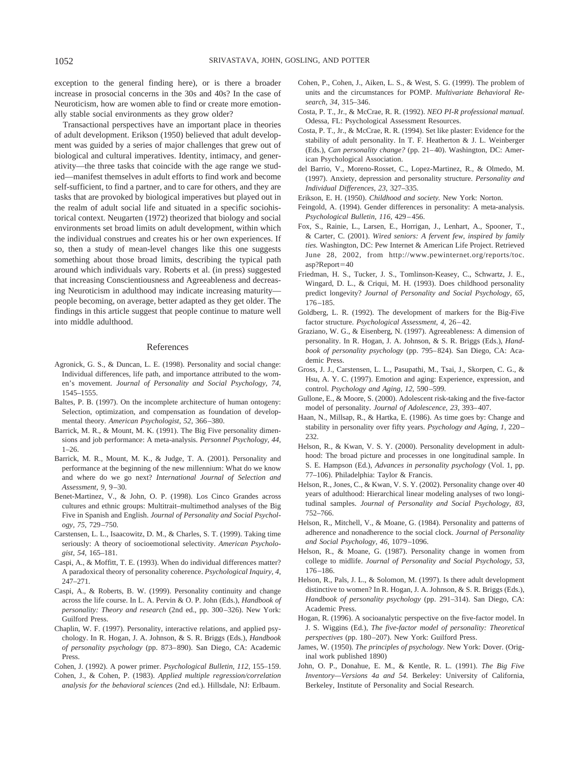exception to the general finding here), or is there a broader increase in prosocial concerns in the 30s and 40s? In the case of Neuroticism, how are women able to find or create more emotionally stable social environments as they grow older?

Transactional perspectives have an important place in theories of adult development. Erikson (1950) believed that adult development was guided by a series of major challenges that grew out of biological and cultural imperatives. Identity, intimacy, and generativity—the three tasks that coincide with the age range we studied—manifest themselves in adult efforts to find work and become self-sufficient, to find a partner, and to care for others, and they are tasks that are provoked by biological imperatives but played out in the realm of adult social life and situated in a specific sociohistorical context. Neugarten (1972) theorized that biology and social environments set broad limits on adult development, within which the individual construes and creates his or her own experiences. If so, then a study of mean-level changes like this one suggests something about those broad limits, describing the typical path around which individuals vary. Roberts et al. (in press) suggested that increasing Conscientiousness and Agreeableness and decreasing Neuroticism in adulthood may indicate increasing maturity people becoming, on average, better adapted as they get older. The findings in this article suggest that people continue to mature well into middle adulthood.

#### References

- Agronick, G. S., & Duncan, L. E. (1998). Personality and social change: Individual differences, life path, and importance attributed to the women's movement. *Journal of Personality and Social Psychology, 74,* 1545–1555.
- Baltes, P. B. (1997). On the incomplete architecture of human ontogeny: Selection, optimization, and compensation as foundation of developmental theory. *American Psychologist, 52,* 366–380.
- Barrick, M. R., & Mount, M. K. (1991). The Big Five personality dimensions and job performance: A meta-analysis. *Personnel Psychology, 44,*  $1 - 26$ .
- Barrick, M. R., Mount, M. K., & Judge, T. A. (2001). Personality and performance at the beginning of the new millennium: What do we know and where do we go next? *International Journal of Selection and Assessment, 9,* 9–30.
- Benet-Martinez, V., & John, O. P. (1998). Los Cinco Grandes across cultures and ethnic groups: Multitrait–multimethod analyses of the Big Five in Spanish and English. *Journal of Personality and Social Psychology, 75,* 729–750.
- Carstensen, L. L., Isaacowitz, D. M., & Charles, S. T. (1999). Taking time seriously: A theory of socioemotional selectivity. *American Psychologist, 54,* 165–181.
- Caspi, A., & Moffitt, T. E. (1993). When do individual differences matter? A paradoxical theory of personality coherence. *Psychological Inquiry, 4,* 247–271.
- Caspi, A., & Roberts, B. W. (1999). Personality continuity and change across the life course. In L. A. Pervin & O. P. John (Eds.), *Handbook of personality: Theory and research* (2nd ed., pp. 300–326). New York: Guilford Press.
- Chaplin, W. F. (1997). Personality, interactive relations, and applied psychology. In R. Hogan, J. A. Johnson, & S. R. Briggs (Eds.), *Handbook of personality psychology* (pp. 873–890). San Diego, CA: Academic Press.

Cohen, J. (1992). A power primer. *Psychological Bulletin, 112,* 155–159.

Cohen, J., & Cohen, P. (1983). *Applied multiple regression/correlation analysis for the behavioral sciences* (2nd ed.). Hillsdale, NJ: Erlbaum.

- Cohen, P., Cohen, J., Aiken, L. S., & West, S. G. (1999). The problem of units and the circumstances for POMP. *Multivariate Behavioral Research, 34,* 315–346.
- Costa, P. T., Jr., & McCrae, R. R. (1992). *NEO PI-R professional manual.* Odessa, FL: Psychological Assessment Resources.
- Costa, P. T., Jr., & McCrae, R. R. (1994). Set like plaster: Evidence for the stability of adult personality. In T. F. Heatherton & J. L. Weinberger (Eds.), *Can personality change?* (pp. 21–40). Washington, DC: American Psychological Association.
- del Barrio, V., Moreno-Rosset, C., Lopez-Martinez, R., & Olmedo, M. (1997). Anxiety, depression and personality structure. *Personality and Individual Differences, 23,* 327–335.
- Erikson, E. H. (1950). *Childhood and society.* New York: Norton.
- Feingold, A. (1994). Gender differences in personality: A meta-analysis. *Psychological Bulletin, 116,* 429–456.
- Fox, S., Rainie, L., Larsen, E., Horrigan, J., Lenhart, A., Spooner, T., & Carter, C. (2001). *Wired seniors: A fervent few, inspired by family ties.* Washington, DC: Pew Internet & American Life Project. Retrieved June 28, 2002, from http://www.pewinternet.org/reports/toc.  $asp?Report=40$
- Friedman, H. S., Tucker, J. S., Tomlinson-Keasey, C., Schwartz, J. E., Wingard, D. L., & Criqui, M. H. (1993). Does childhood personality predict longevity? *Journal of Personality and Social Psychology, 65,* 176–185.
- Goldberg, L. R. (1992). The development of markers for the Big-Five factor structure. *Psychological Assessment, 4,* 26–42.
- Graziano, W. G., & Eisenberg, N. (1997). Agreeableness: A dimension of personality. In R. Hogan, J. A. Johnson, & S. R. Briggs (Eds.), *Handbook of personality psychology* (pp. 795–824). San Diego, CA: Academic Press.
- Gross, J. J., Carstensen, L. L., Pasupathi, M., Tsai, J., Skorpen, C. G., & Hsu, A. Y. C. (1997). Emotion and aging: Experience, expression, and control. *Psychology and Aging, 12,* 590–599.
- Gullone, E., & Moore, S. (2000). Adolescent risk-taking and the five-factor model of personality. *Journal of Adolescence, 23,* 393–407.
- Haan, N., Millsap, R., & Hartka, E. (1986). As time goes by: Change and stability in personality over fifty years. *Psychology and Aging, 1,* 220– 232.
- Helson, R., & Kwan, V. S. Y. (2000). Personality development in adulthood: The broad picture and processes in one longitudinal sample. In S. E. Hampson (Ed.), *Advances in personality psychology* (Vol. 1, pp. 77–106). Philadelphia: Taylor & Francis.
- Helson, R., Jones, C., & Kwan, V. S. Y. (2002). Personality change over 40 years of adulthood: Hierarchical linear modeling analyses of two longitudinal samples. *Journal of Personality and Social Psychology, 83,* 752–766.
- Helson, R., Mitchell, V., & Moane, G. (1984). Personality and patterns of adherence and nonadherence to the social clock. *Journal of Personality and Social Psychology, 46,* 1079–1096.
- Helson, R., & Moane, G. (1987). Personality change in women from college to midlife. *Journal of Personality and Social Psychology, 53,* 176–186.
- Helson, R., Pals, J. L., & Solomon, M. (1997). Is there adult development distinctive to women? In R. Hogan, J. A. Johnson, & S. R. Briggs (Eds.), *Handbook of personality psychology* (pp. 291–314). San Diego, CA: Academic Press.
- Hogan, R. (1996). A socioanalytic perspective on the five-factor model. In J. S. Wiggins (Ed.), *The five-factor model of personality: Theoretical perspectives* (pp. 180–207). New York: Guilford Press.
- James, W. (1950). *The principles of psychology.* New York: Dover. (Original work published 1890)
- John, O. P., Donahue, E. M., & Kentle, R. L. (1991). *The Big Five Inventory—Versions 4a and 54.* Berkeley: University of California, Berkeley, Institute of Personality and Social Research.